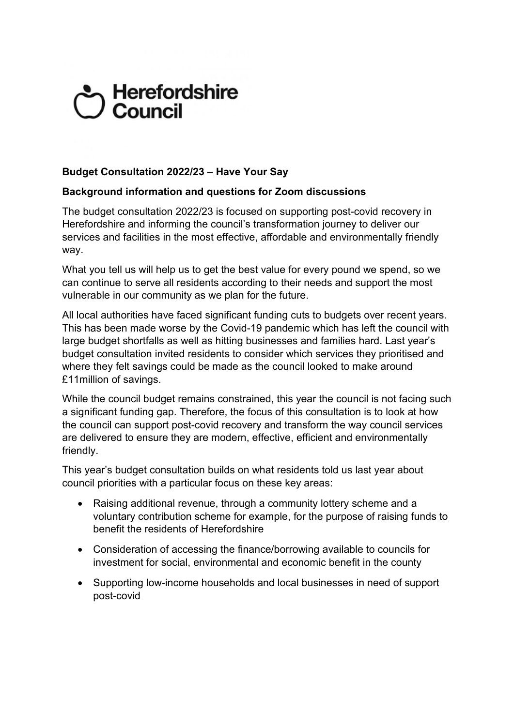# Sy Herefordshire<br>Council

# **Budget Consultation 2022/23 – Have Your Say**

# **Background information and questions for Zoom discussions**

The budget consultation 2022/23 is focused on supporting post-covid recovery in Herefordshire and informing the council's transformation journey to deliver our services and facilities in the most effective, affordable and environmentally friendly way.

What you tell us will help us to get the best value for every pound we spend, so we can continue to serve all residents according to their needs and support the most vulnerable in our community as we plan for the future.

All local authorities have faced significant funding cuts to budgets over recent years. This has been made worse by the Covid-19 pandemic which has left the council with large budget shortfalls as well as hitting businesses and families hard. Last year's budget consultation invited residents to consider which services they prioritised and where they felt savings could be made as the council looked to make around £11million of savings.

While the council budget remains constrained, this year the council is not facing such a significant funding gap. Therefore, the focus of this consultation is to look at how the council can support post-covid recovery and transform the way council services are delivered to ensure they are modern, effective, efficient and environmentally friendly.

This year's budget consultation builds on what residents told us last year about council priorities with a particular focus on these key areas:

- Raising additional revenue, through a community lottery scheme and a voluntary contribution scheme for example, for the purpose of raising funds to benefit the residents of Herefordshire
- Consideration of accessing the finance/borrowing available to councils for investment for social, environmental and economic benefit in the county
- Supporting low-income households and local businesses in need of support post-covid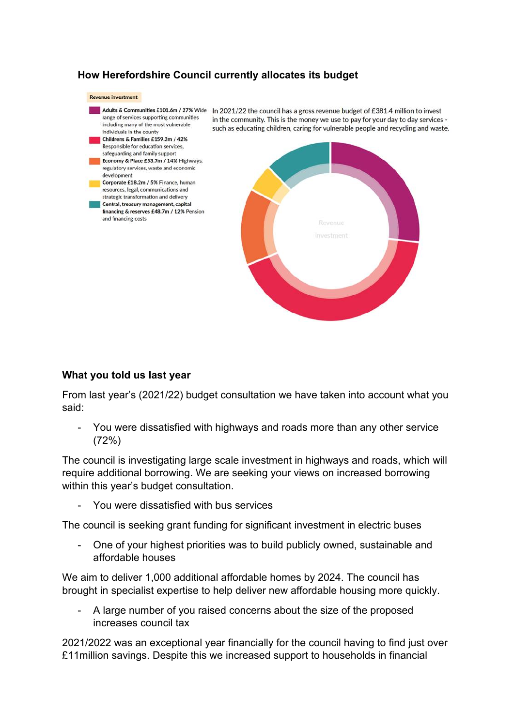# **How Herefordshire Council currently allocates its budget**



#### **What you told us last year**

From last year's (2021/22) budget consultation we have taken into account what you said:

- You were dissatisfied with highways and roads more than any other service (72%)

The council is investigating large scale investment in highways and roads, which will require additional borrowing. We are seeking your views on increased borrowing within this year's budget consultation.

You were dissatisfied with bus services

The council is seeking grant funding for significant investment in electric buses

- One of your highest priorities was to build publicly owned, sustainable and affordable houses

We aim to deliver 1,000 additional affordable homes by 2024. The council has brought in specialist expertise to help deliver new affordable housing more quickly.

A large number of you raised concerns about the size of the proposed increases council tax

2021/2022 was an exceptional year financially for the council having to find just over £11million savings. Despite this we increased support to households in financial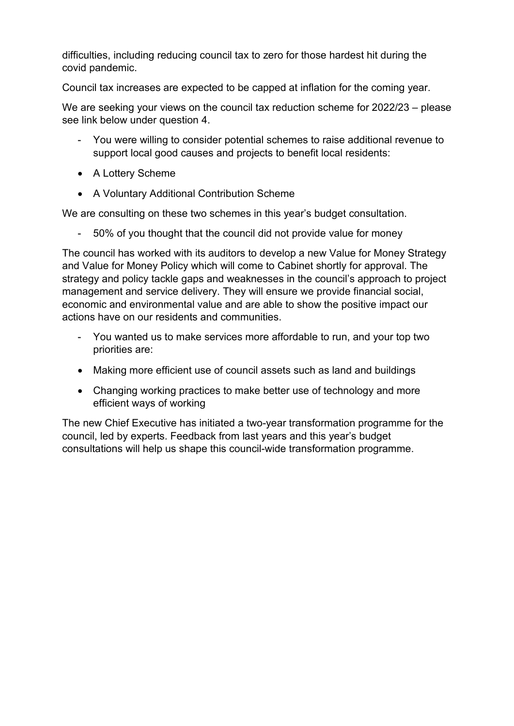difficulties, including reducing council tax to zero for those hardest hit during the covid pandemic.

Council tax increases are expected to be capped at inflation for the coming year.

We are seeking your views on the council tax reduction scheme for 2022/23 – please see link below under question 4.

- You were willing to consider potential schemes to raise additional revenue to support local good causes and projects to benefit local residents:
- A Lottery Scheme
- A Voluntary Additional Contribution Scheme

We are consulting on these two schemes in this year's budget consultation.

- 50% of you thought that the council did not provide value for money

The council has worked with its auditors to develop a new Value for Money Strategy and Value for Money Policy which will come to Cabinet shortly for approval. The strategy and policy tackle gaps and weaknesses in the council's approach to project management and service delivery. They will ensure we provide financial social, economic and environmental value and are able to show the positive impact our actions have on our residents and communities.

- You wanted us to make services more affordable to run, and your top two priorities are:
- Making more efficient use of council assets such as land and buildings
- Changing working practices to make better use of technology and more efficient ways of working

The new Chief Executive has initiated a two-year transformation programme for the council, led by experts. Feedback from last years and this year's budget consultations will help us shape this council-wide transformation programme.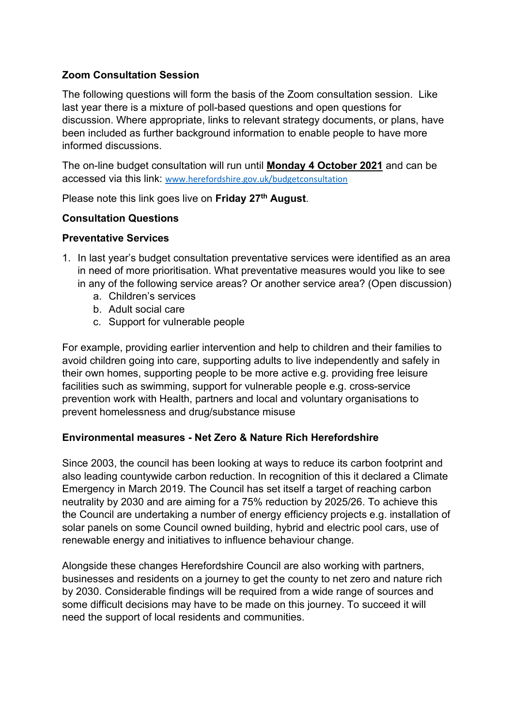# **Zoom Consultation Session**

The following questions will form the basis of the Zoom consultation session. Like last year there is a mixture of poll-based questions and open questions for discussion. Where appropriate, links to relevant strategy documents, or plans, have been included as further background information to enable people to have more informed discussions.

The on-line budget consultation will run until **Monday 4 October 2021** and can be accessed via this link: [www.herefordshire.gov.uk/budgetconsultation](http://www.herefordshire.gov.uk/budgetconsultation)

Please note this link goes live on **Friday 27th August**.

# **Consultation Questions**

#### **Preventative Services**

- 1. In last year's budget consultation preventative services were identified as an area in need of more prioritisation. What preventative measures would you like to see in any of the following service areas? Or another service area? (Open discussion)
	- a. Children's services
	- b. Adult social care
	- c. Support for vulnerable people

For example, providing earlier intervention and help to children and their families to avoid children going into care, supporting adults to live independently and safely in their own homes, supporting people to be more active e.g. providing free leisure facilities such as swimming, support for vulnerable people e.g. cross-service prevention work with Health, partners and local and voluntary organisations to prevent homelessness and drug/substance misuse

# **Environmental measures - Net Zero & Nature Rich Herefordshire**

Since 2003, the council has been looking at ways to reduce its carbon footprint and also leading countywide carbon reduction. In recognition of this it declared a Climate Emergency in March 2019. The Council has set itself a target of reaching carbon neutrality by 2030 and are aiming for a 75% reduction by 2025/26. To achieve this the Council are undertaking a number of energy efficiency projects e.g. installation of solar panels on some Council owned building, hybrid and electric pool cars, use of renewable energy and initiatives to influence behaviour change.

Alongside these changes Herefordshire Council are also working with partners, businesses and residents on a journey to get the county to net zero and nature rich by 2030. Considerable findings will be required from a wide range of sources and some difficult decisions may have to be made on this journey. To succeed it will need the support of local residents and communities.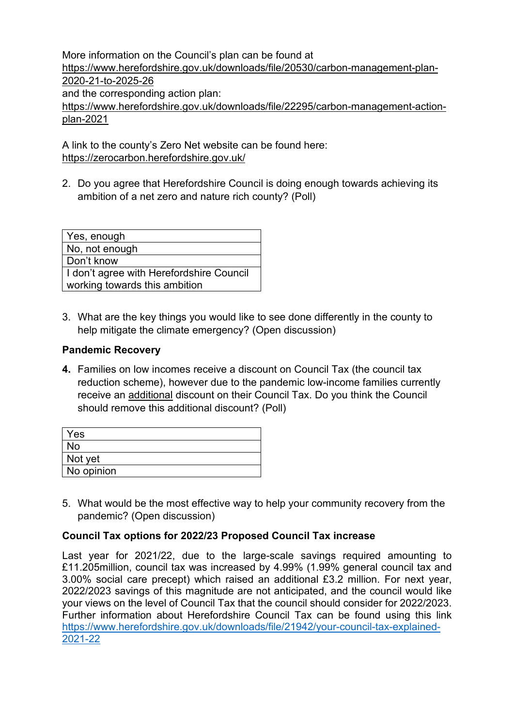More information on the Council's plan can be found at [https://www.herefordshire.gov.uk/downloads/file/20530/carbon-management-plan-](https://www.herefordshire.gov.uk/downloads/file/20530/carbon-management-plan-2020-21-to-2025-26)[2020-21-to-2025-26](https://www.herefordshire.gov.uk/downloads/file/20530/carbon-management-plan-2020-21-to-2025-26) and the corresponding action plan: [https://www.herefordshire.gov.uk/downloads/file/22295/carbon-management-action](https://www.herefordshire.gov.uk/downloads/file/22295/carbon-management-action-plan-2021)[plan-2021](https://www.herefordshire.gov.uk/downloads/file/22295/carbon-management-action-plan-2021)

A link to the county's Zero Net website can be found here: <https://zerocarbon.herefordshire.gov.uk/>

2. Do you agree that Herefordshire Council is doing enough towards achieving its ambition of a net zero and nature rich county? (Poll)

| Yes, enough                                |
|--------------------------------------------|
| No, not enough                             |
| Don't know                                 |
| I I don't agree with Herefordshire Council |
| working towards this ambition              |

3. What are the key things you would like to see done differently in the county to help mitigate the climate emergency? (Open discussion)

# **Pandemic Recovery**

**4.** Families on low incomes receive a discount on Council Tax (the council tax reduction scheme), however due to the pandemic low-income families currently receive an additional discount on their Council Tax. Do you think the Council should remove this additional discount? (Poll)

| <b>Yes</b> |  |  |
|------------|--|--|
| <b>No</b>  |  |  |
| Not yet    |  |  |
| No opinion |  |  |

5. What would be the most effective way to help your community recovery from the pandemic? (Open discussion)

# **Council Tax options for 2022/23 Proposed Council Tax increase**

Last year for 2021/22, due to the large-scale savings required amounting to £11.205million, council tax was increased by 4.99% (1.99% general council tax and 3.00% social care precept) which raised an additional £3.2 million. For next year, 2022/2023 savings of this magnitude are not anticipated, and the council would like your views on the level of Council Tax that the council should consider for 2022/2023. Further information about Herefordshire Council Tax can be found using this link [https://www.herefordshire.gov.uk/downloads/file/21942/your-council-tax-explained-](https://www.herefordshire.gov.uk/downloads/file/21942/your-council-tax-explained-2021-22)[2021-22](https://www.herefordshire.gov.uk/downloads/file/21942/your-council-tax-explained-2021-22)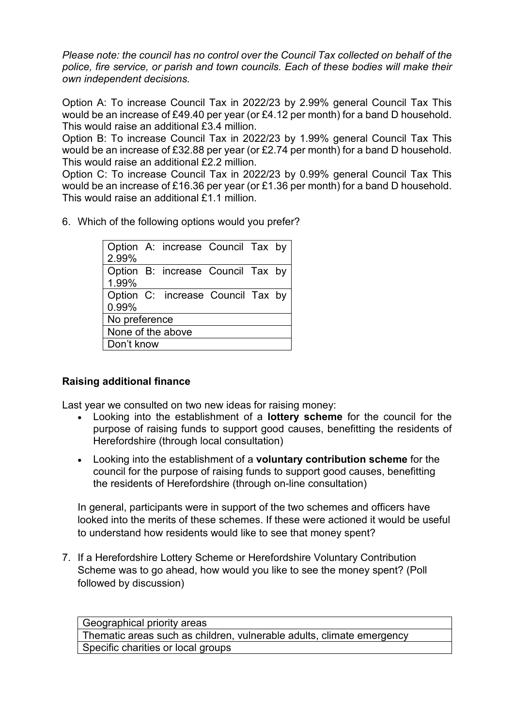*Please note: the council has no control over the Council Tax collected on behalf of the police, fire service, or parish and town councils. Each of these bodies will make their own independent decisions.*

Option A: To increase Council Tax in 2022/23 by 2.99% general Council Tax This would be an increase of £49.40 per year (or £4.12 per month) for a band D household. This would raise an additional £3.4 million.

Option B: To increase Council Tax in 2022/23 by 1.99% general Council Tax This would be an increase of £32.88 per year (or £2.74 per month) for a band D household. This would raise an additional £2.2 million.

Option C: To increase Council Tax in 2022/23 by 0.99% general Council Tax This would be an increase of £16.36 per year (or £1.36 per month) for a band D household. This would raise an additional £1.1 million.

6. Which of the following options would you prefer?

|                   | Option A: increase Council Tax by |  |  |
|-------------------|-----------------------------------|--|--|
| 2.99%             |                                   |  |  |
| 1.99%             | Option B: increase Council Tax by |  |  |
| 0.99%             | Option C: increase Council Tax by |  |  |
| No preference     |                                   |  |  |
| None of the above |                                   |  |  |
| Don't know        |                                   |  |  |

# **Raising additional finance**

Last year we consulted on two new ideas for raising money:

- Looking into the establishment of a **lottery scheme** for the council for the purpose of raising funds to support good causes, benefitting the residents of Herefordshire (through local consultation)
- Looking into the establishment of a **voluntary contribution scheme** for the council for the purpose of raising funds to support good causes, benefitting the residents of Herefordshire (through on-line consultation)

In general, participants were in support of the two schemes and officers have looked into the merits of these schemes. If these were actioned it would be useful to understand how residents would like to see that money spent?

7. If a Herefordshire Lottery Scheme or Herefordshire Voluntary Contribution Scheme was to go ahead, how would you like to see the money spent? (Poll followed by discussion)

Geographical priority areas Thematic areas such as children, vulnerable adults, climate emergency Specific charities or local groups